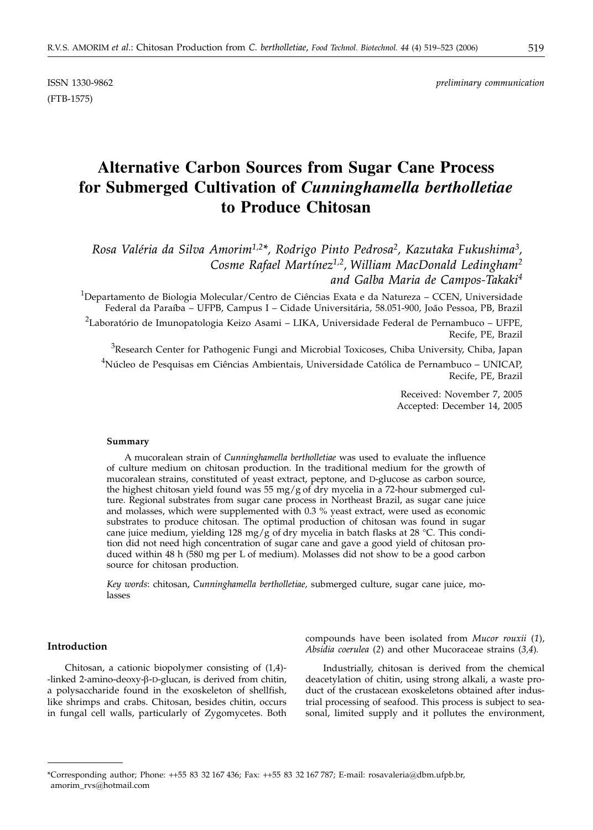(FTB-1575)

ISSN 1330-9862 *preliminary communication*

# **Alternative Carbon Sources from Sugar Cane Process for Submerged Cultivation of** *Cunninghamella bertholletiae* **to Produce Chitosan**

*Rosa Valéria da Silva Amorim1,2\*, Rodrigo Pinto Pedrosa2, Kazutaka Fukushima3, Cosme Rafael Martínez1,2, William MacDonald Ledingham2 and Galba Maria de Campos-Takaki4*

 $^{1}$ Departamento de Biologia Molecular/Centro de Ciências Exata e da Natureza – CCEN, Universidade Federal da Paraíba – UFPB, Campus I – Cidade Universitária, 58.051-900, João Pessoa, PB, Brazil

<sup>2</sup>Laboratório de Imunopatologia Keizo Asami – LIKA, Universidade Federal de Pernambuco – UFPE, Recife, PE, Brazil

 ${}^{3}$ Research Center for Pathogenic Fungi and Microbial Toxicoses, Chiba University, Chiba, Japan <sup>4</sup>Núcleo de Pesquisas em Ciências Ambientais, Universidade Católica de Pernambuco – UNICAP, Recife, PE, Brazil

> Received: November 7, 2005 Accepted: December 14, 2005

#### **Summary**

A mucoralean strain of *Cunninghamella bertholletiae* was used to evaluate the influence of culture medium on chitosan production. In the traditional medium for the growth of mucoralean strains, constituted of yeast extract, peptone, and D-glucose as carbon source, the highest chitosan yield found was 55 mg/g of dry mycelia in a 72-hour submerged culture. Regional substrates from sugar cane process in Northeast Brazil, as sugar cane juice and molasses, which were supplemented with 0.3 % yeast extract, were used as economic substrates to produce chitosan. The optimal production of chitosan was found in sugar cane juice medium, yielding 128 mg/g of dry mycelia in batch flasks at 28 °C. This condition did not need high concentration of sugar cane and gave a good yield of chitosan produced within 48 h (580 mg per L of medium). Molasses did not show to be a good carbon source for chitosan production.

*Key words*: chitosan, *Cunninghamella bertholletiae,* submerged culture, sugar cane juice, molasses

# **Introduction**

Chitosan, a cationic biopolymer consisting of (1,4)- -linked 2-amino-deoxy-b-D-glucan, is derived from chitin, a polysaccharide found in the exoskeleton of shellfish, like shrimps and crabs. Chitosan, besides chitin, occurs in fungal cell walls, particularly of Zygomycetes. Both

compounds have been isolated from *Mucor rouxii* (*1*), *Absidia coerulea* (*2*) and other Mucoraceae strains (*3,4*)*.*

Industrially, chitosan is derived from the chemical deacetylation of chitin, using strong alkali, a waste product of the crustacean exoskeletons obtained after industrial processing of seafood. This process is subject to seasonal, limited supply and it pollutes the environment,

<sup>\*</sup>Corresponding author; Phone: ++55 83 32 167 436; Fax: ++55 83 32 167 787; E-mail: rosavaleria@dbm.ufpb.br, amorim\_rvs@hotmail.com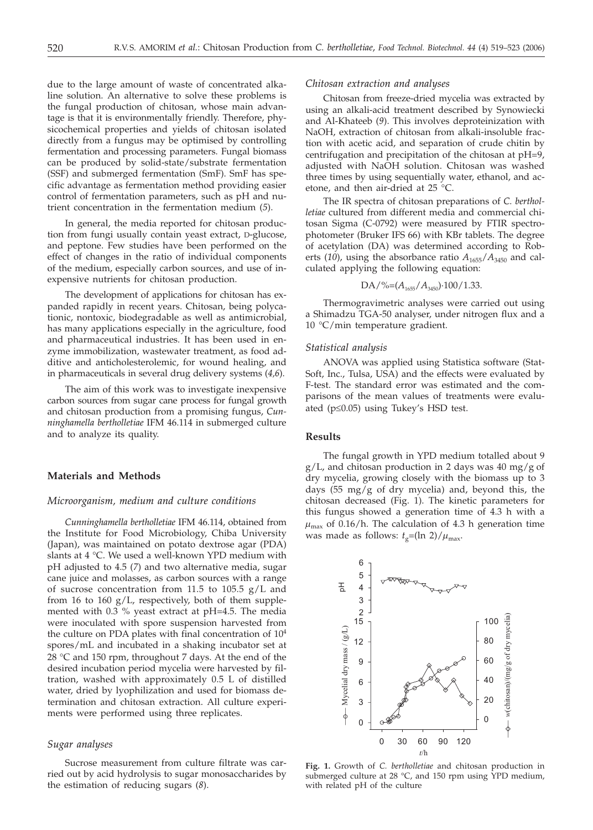due to the large amount of waste of concentrated alkaline solution. An alternative to solve these problems is the fungal production of chitosan, whose main advantage is that it is environmentally friendly. Therefore, physicochemical properties and yields of chitosan isolated directly from a fungus may be optimised by controlling fermentation and processing parameters. Fungal biomass can be produced by solid-state/substrate fermentation (SSF) and submerged fermentation (SmF). SmF has specific advantage as fermentation method providing easier control of fermentation parameters, such as pH and nutrient concentration in the fermentation medium (*5*).

In general, the media reported for chitosan production from fungi usually contain yeast extract, D-glucose, and peptone. Few studies have been performed on the effect of changes in the ratio of individual components of the medium, especially carbon sources, and use of inexpensive nutrients for chitosan production.

The development of applications for chitosan has expanded rapidly in recent years. Chitosan, being polycationic, nontoxic, biodegradable as well as antimicrobial, has many applications especially in the agriculture, food and pharmaceutical industries. It has been used in enzyme immobilization, wastewater treatment, as food additive and anticholesterolemic, for wound healing, and in pharmaceuticals in several drug delivery systems (*4,6*).

The aim of this work was to investigate inexpensive carbon sources from sugar cane process for fungal growth and chitosan production from a promising fungus, *Cunninghamella bertholletiae* IFM 46.114 in submerged culture and to analyze its quality.

## **Materials and Methods**

## *Microorganism, medium and culture conditions*

*Cunninghamella bertholletiae* IFM 46.114, obtained from the Institute for Food Microbiology, Chiba University (Japan), was maintained on potato dextrose agar (PDA) slants at 4 °C. We used a well-known YPD medium with pH adjusted to 4.5 (*7*) and two alternative media, sugar cane juice and molasses, as carbon sources with a range of sucrose concentration from 11.5 to 105.5 g/L and from 16 to 160 g/L, respectively, both of them supplemented with 0.3 % yeast extract at pH=4.5. The media were inoculated with spore suspension harvested from the culture on PDA plates with final concentration of  $10^4$ spores/mL and incubated in a shaking incubator set at 28 °C and 150 rpm, throughout 7 days. At the end of the desired incubation period mycelia were harvested by filtration, washed with approximately 0.5 L of distilled water, dried by lyophilization and used for biomass determination and chitosan extraction. All culture experiments were performed using three replicates.

#### *Sugar analyses*

Sucrose measurement from culture filtrate was carried out by acid hydrolysis to sugar monosaccharides by the estimation of reducing sugars (*8*).

## *Chitosan extraction and analyses*

Chitosan from freeze-dried mycelia was extracted by using an alkali-acid treatment described by Synowiecki and Al-Khateeb (*9*). This involves deproteinization with NaOH, extraction of chitosan from alkali-insoluble fraction with acetic acid, and separation of crude chitin by centrifugation and precipitation of the chitosan at pH=9, adjusted with NaOH solution. Chitosan was washed three times by using sequentially water, ethanol, and acetone, and then air-dried at 25 °C.

The IR spectra of chitosan preparations of *C. bertholletiae* cultured from different media and commercial chitosan Sigma (C-0792) were measured by FTIR spectrophotometer (Bruker IFS 66) with KBr tablets. The degree of acetylation (DA) was determined according to Roberts (10), using the absorbance ratio  $A_{1655}/A_{3450}$  and calculated applying the following equation:

$$
DA/\%=(A_{1655}/A_{3450})\cdot 100/1.33.
$$

Thermogravimetric analyses were carried out using a Shimadzu TGA-50 analyser, under nitrogen flux and a 10 °C/min temperature gradient.

#### *Statistical analysis*

ANOVA was applied using Statistica software (Stat-Soft, Inc., Tulsa, USA) and the effects were evaluated by F-test. The standard error was estimated and the comparisons of the mean values of treatments were evaluated (p*£*0.05) using Tukey's HSD test.

#### **Results**

The fungal growth in YPD medium totalled about 9  $g/L$ , and chitosan production in 2 days was 40 mg/g of dry mycelia, growing closely with the biomass up to 3 days  $(55 \text{ mg/g of dry mycelia})$  and, beyond this, the chitosan decreased (Fig. 1). The kinetic parameters for this fungus showed a generation time of 4.3 h with a  $\mu_{\text{max}}$  of 0.16/h. The calculation of 4.3 h generation time was made as follows:  $t_g = (\ln 2)/\mu_{\text{max}}$ .



**Fig. 1.** Growth of *C. bertholletiae* and chitosan production in submerged culture at 28 °C, and 150 rpm using YPD medium, with related pH of the culture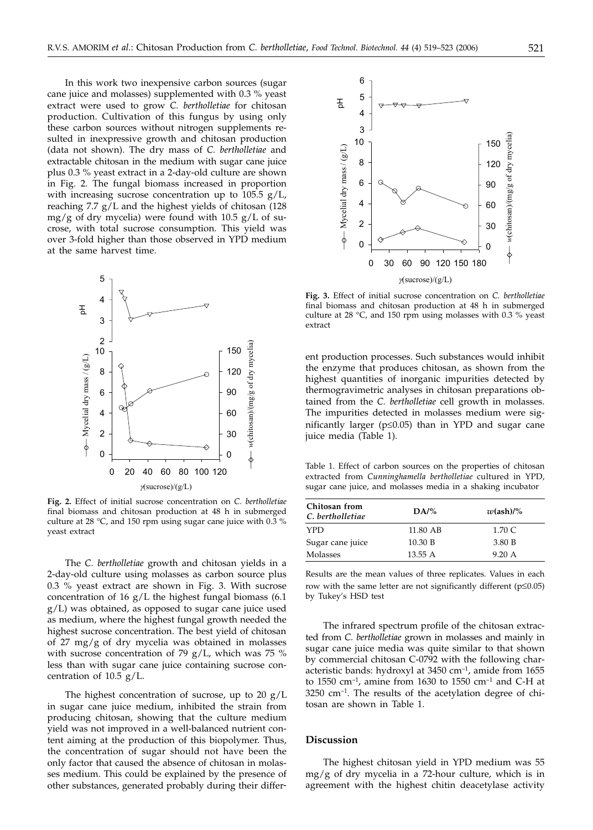In this work two inexpensive carbon sources (sugar cane juice and molasses) supplemented with 0.3 % yeast extract were used to grow *C. bertholletiae* for chitosan production. Cultivation of this fungus by using only these carbon sources without nitrogen supplements resulted in inexpressive growth and chitosan production (data not shown). The dry mass of *C. bertholletiae* and extractable chitosan in the medium with sugar cane juice plus 0.3 % yeast extract in a 2-day-old culture are shown in Fig. 2. The fungal biomass increased in proportion with increasing sucrose concentration up to  $105.5$  g/L, reaching 7.7 g/L and the highest yields of chitosan (128 mg/g of dry mycelia) were found with  $10.5$  g/L of sucrose, with total sucrose consumption. This yield was over 3-fold higher than those observed in YPD medium at the same harvest time.



**Fig. 2.** Effect of initial sucrose concentration on *C. bertholletiae* final biomass and chitosan production at 48 h in submerged culture at 28 °C, and 150 rpm using sugar cane juice with 0.3 % yeast extract

The *C. bertholletiae* growth and chitosan yields in a 2-day-old culture using molasses as carbon source plus 0.3 % yeast extract are shown in Fig. 3. With sucrose concentration of 16 g/L the highest fungal biomass (6.1 g/L) was obtained, as opposed to sugar cane juice used as medium, where the highest fungal growth needed the highest sucrose concentration. The best yield of chitosan of 27 mg/g of dry mycelia was obtained in molasses with sucrose concentration of 79 g/L, which was 75  $%$ less than with sugar cane juice containing sucrose concentration of 10.5 g/L.

The highest concentration of sucrose, up to 20 g/L in sugar cane juice medium, inhibited the strain from producing chitosan, showing that the culture medium yield was not improved in a well-balanced nutrient content aiming at the production of this biopolymer. Thus, the concentration of sugar should not have been the only factor that caused the absence of chitosan in molasses medium. This could be explained by the presence of other substances, generated probably during their differ-



**Fig. 3.** Effect of initial sucrose concentration on *C. bertholletiae* final biomass and chitosan production at 48 h in submerged culture at 28 °C, and 150 rpm using molasses with 0.3 % yeast extract

ent production processes. Such substances would inhibit the enzyme that produces chitosan, as shown from the highest quantities of inorganic impurities detected by thermogravimetric analyses in chitosan preparations obtained from the *C. bertholletiae* cell growth in molasses. The impurities detected in molasses medium were significantly larger ( $p \le 0.05$ ) than in YPD and sugar cane juice media (Table 1).

Table 1. Effect of carbon sources on the properties of chitosan extracted from *Cunninghamella bertholletiae* cultured in YPD, sugar cane juice, and molasses media in a shaking incubator

| Chitosan from<br>C. bertholletiae | DA/%     | $w(\text{ash})/$ % |
|-----------------------------------|----------|--------------------|
| <b>YPD</b>                        | 11.80 AB | 1.70 C             |
| Sugar cane juice                  | 10.30 B  | 3.80 B             |
| Molasses                          | 13.55A   | 9.20 A             |

Results are the mean values of three replicates. Values in each row with the same letter are not significantly different ( $p \le 0.05$ ) by Tukey's HSD test

The infrared spectrum profile of the chitosan extracted from *C. bertholletiae* grown in molasses and mainly in sugar cane juice media was quite similar to that shown by commercial chitosan C-0792 with the following characteristic bands: hydroxyl at 3450 cm<sup>-1</sup>, amide from 1655 to 1550  $cm^{-1}$ , amine from 1630 to 1550  $cm^{-1}$  and C-H at  $3250$  cm<sup>-1</sup>. The results of the acetylation degree of chitosan are shown in Table 1.

## **Discussion**

The highest chitosan yield in YPD medium was 55 mg/g of dry mycelia in a 72-hour culture, which is in agreement with the highest chitin deacetylase activity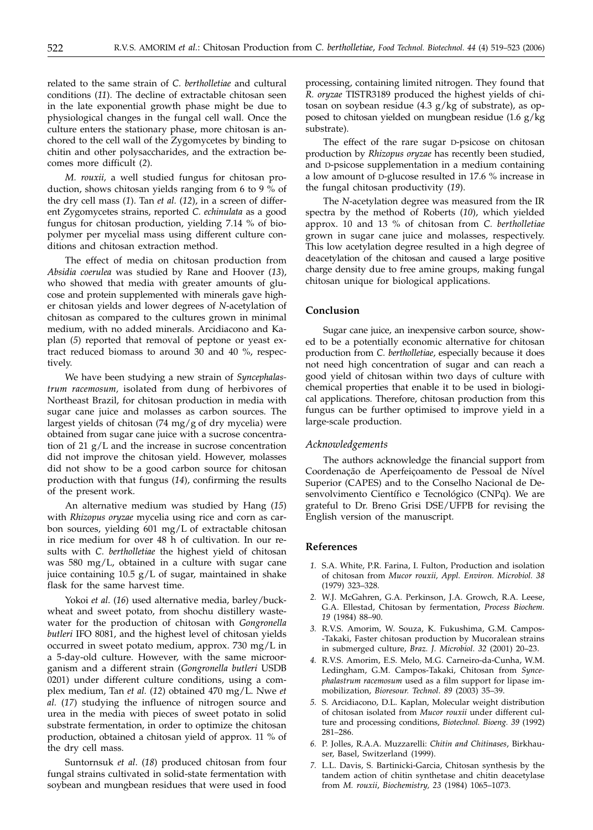related to the same strain of *C. bertholletiae* and cultural conditions (*11*). The decline of extractable chitosan seen in the late exponential growth phase might be due to physiological changes in the fungal cell wall. Once the culture enters the stationary phase, more chitosan is anchored to the cell wall of the Zygomycetes by binding to chitin and other polysaccharides, and the extraction becomes more difficult (*2*).

*M. rouxii,* a well studied fungus for chitosan production, shows chitosan yields ranging from 6 to 9 % of the dry cell mass (*1*). Tan *et al.* (*12*), in a screen of different Zygomycetes strains, reported *C. echinulata* as a good fungus for chitosan production, yielding 7.14 % of biopolymer per mycelial mass using different culture conditions and chitosan extraction method.

The effect of media on chitosan production from *Absidia coerulea* was studied by Rane and Hoover (*13*), who showed that media with greater amounts of glucose and protein supplemented with minerals gave higher chitosan yields and lower degrees of *N*-acetylation of chitosan as compared to the cultures grown in minimal medium, with no added minerals. Arcidiacono and Kaplan (*5*) reported that removal of peptone or yeast extract reduced biomass to around 30 and 40 %, respectively.

We have been studying a new strain of *Syncephalastrum racemosum,* isolated from dung of herbivores of Northeast Brazil, for chitosan production in media with sugar cane juice and molasses as carbon sources. The largest yields of chitosan (74 mg/g of dry mycelia) were obtained from sugar cane juice with a sucrose concentration of 21 g/L and the increase in sucrose concentration did not improve the chitosan yield. However, molasses did not show to be a good carbon source for chitosan production with that fungus (*14*), confirming the results of the present work.

An alternative medium was studied by Hang (*15*) with *Rhizopus oryzae* mycelia using rice and corn as carbon sources, yielding 601 mg/L of extractable chitosan in rice medium for over 48 h of cultivation. In our results with *C. bertholletiae* the highest yield of chitosan was 580 mg/L, obtained in a culture with sugar cane juice containing  $10.5$  g/L of sugar, maintained in shake flask for the same harvest time.

Yokoi *et al*. (*16*) used alternative media, barley/buckwheat and sweet potato, from shochu distillery wastewater for the production of chitosan with *Gongronella butleri* IFO 8081, and the highest level of chitosan yields occurred in sweet potato medium, approx. 730 mg/L in a 5-day-old culture. However, with the same microorganism and a different strain (*Gongronella butleri* USDB 0201) under different culture conditions, using a complex medium, Tan *et al.* (*12*) obtained 470 mg/L. Nwe *et al.* (*17*) studying the influence of nitrogen source and urea in the media with pieces of sweet potato in solid substrate fermentation, in order to optimize the chitosan production, obtained a chitosan yield of approx*.* 11 % of the dry cell mass.

Suntornsuk *et al*. (*18*) produced chitosan from four fungal strains cultivated in solid-state fermentation with soybean and mungbean residues that were used in food

processing, containing limited nitrogen. They found that *R. oryzae* TISTR3189 produced the highest yields of chitosan on soybean residue (4.3 g/kg of substrate), as opposed to chitosan yielded on mungbean residue (1.6 g/kg substrate).

The effect of the rare sugar D-psicose on chitosan production by *Rhizopus oryzae* has recently been studied, and D-psicose supplementation in a medium containing a low amount of D-glucose resulted in 17.6 % increase in the fungal chitosan productivity (*19*).

The *N*-acetylation degree was measured from the IR spectra by the method of Roberts (*10*), which yielded approx. 10 and 13 % of chitosan from *C. bertholletiae* grown in sugar cane juice and molasses, respectively. This low acetylation degree resulted in a high degree of deacetylation of the chitosan and caused a large positive charge density due to free amine groups, making fungal chitosan unique for biological applications.

## **Conclusion**

Sugar cane juice, an inexpensive carbon source, showed to be a potentially economic alternative for chitosan production from *C. bertholletiae*, especially because it does not need high concentration of sugar and can reach a good yield of chitosan within two days of culture with chemical properties that enable it to be used in biological applications. Therefore, chitosan production from this fungus can be further optimised to improve yield in a large-scale production.

#### *Acknowledgements*

The authors acknowledge the financial support from Coordenação de Aperfeiçoamento de Pessoal de Nível Superior (CAPES) and to the Conselho Nacional de Desenvolvimento Científico e Tecnológico (CNPq). We are grateful to Dr. Breno Grisi DSE/UFPB for revising the English version of the manuscript.

#### **References**

- *1.* S.A. White, P.R. Farina, I. Fulton, Production and isolation of chitosan from *Mucor rouxii, Appl. Environ. Microbiol. 38* (1979) 323–328.
- *2.* W.J. McGahren, G.A. Perkinson, J.A. Growch, R.A. Leese, G.A. Ellestad, Chitosan by fermentation, *Process Biochem. 19* (1984) 88–90.
- *3.* R.V.S. Amorim, W. Souza, K. Fukushima, G.M. Campos- -Takaki, Faster chitosan production by Mucoralean strains in submerged culture, *Braz. J. Microbiol*. *32* (2001) 20–23.
- *4.* R.V.S. Amorim, E.S. Melo, M.G. Carneiro-da-Cunha, W.M. Ledingham, G.M. Campos-Takaki, Chitosan from *Syncephalastrum racemosum* used as a film support for lipase immobilization, *Bioresour. Technol*. *89* (2003) 35–39.
- *5.* S. Arcidiacono, D.L. Kaplan, Molecular weight distribution of chitosan isolated from *Mucor rouxii* under different culture and processing conditions, *Biotechnol. Bioeng. 39* (1992) 281–286.
- *6.* P. Jolles, R.A.A. Muzzarelli: *Chitin and Chitinases*, Birkhauser, Basel, Switzerland (1999).
- *7.* L.L. Davis, S. Bartinicki-Garcia, Chitosan synthesis by the tandem action of chitin synthetase and chitin deacetylase from *M. rouxii*, *Biochemistry, 23* (1984) 1065–1073.